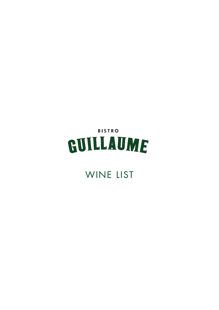# **BISTRO** GUILLAUME

## WINE LIST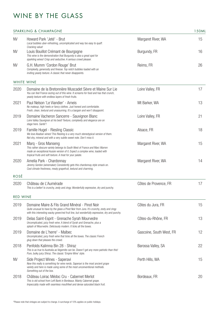### WINE BY THE GLASS

|                   | SPARKLING & CHAMPAGNE                                                                                                                                                                                                                            |                          | 150ML |
|-------------------|--------------------------------------------------------------------------------------------------------------------------------------------------------------------------------------------------------------------------------------------------|--------------------------|-------|
| <b>NV</b>         | Howard Park 'Jeté' - Brut<br>Local bubbles uber-refreshing, uncomplicated and way too easy to quaff.<br>Cracking value!                                                                                                                          | Margaret River, WA       | 15    |
| <b>NV</b>         | Louis Bouillot Crémant de Bourgogne<br>This wine is the demonstration that Burgundy is also a great spot for<br>sparkling wines! Crisp and seductive. A serious crowd pleaser.                                                                   | Burgundy, FR             | 16    |
| <b>NV</b>         | G.H. Mumm 'Cordon Rouge' Brut<br>Complexity, generosity and finesse. Top notch bubbles loaded with an<br>inviting yeasty texture. A classic that never disappoints.                                                                              | Reims, FR                | 26    |
| <b>WHITE WINE</b> |                                                                                                                                                                                                                                                  |                          |       |
| 2020              | Domaine de la Bretonnière Muscadet Sèvre et Maine Sur Lie<br>You can feel France oozing out of this wine. It screams for food and has that crunch,<br>yeasty texture with endless layers of fresh fruits.                                        | Loire Valley, FR         | 17    |
| 2021              | Paul Nelson 'Le Viandier' - Arneis<br>No makeup, high heels or fancy clothes. Just honest and comfortable.<br>Fresh, clean, textural and unassuming. It's a bargain and won't disappoint.                                                        | Mt Barker, WA            | 13    |
| 2019              | Domaine Vacheron Sancerre - Sauvignon Blanc<br>Loire Valley Sauvignon at his best! Texture, complexity and elegance are on<br>stage here. Santé'!                                                                                                | Loire Valley, FR         | 21    |
| 2019              | Famille Hugel - Riesling Classic<br>We love Alsatian wines! This Riesling is a very much stereotypical version of them.<br>Not shy, mineral and with a very subtle sweet note. Don't miss it.                                                    | Alsace, FR               | 18    |
| 2021              | Marq - Gros Manseng<br>This rather obscure variety belongs to South West of France and Marc Warren<br>made an exceptional Aussie version of it. Expect a complex wine, loaded with<br>tropical fruits and soft texture. A treat for your palate. | Margaret River, WA       | 15    |
| 2020              | Amelia Park - Chardonnay<br>Jeremy Gordon (winemaker) Consistently gets this chardonnay style smack on.<br>Cool climate freshness, mealy grapefruit, textural and charming.                                                                      | Margaret River, WA       | 14    |
| ROSÉ              |                                                                                                                                                                                                                                                  |                          |       |
| 2020              | Château de L'Aumérade<br>This is a belter! Is crunchy, zesty and zingy. Wonderfully expressive, dry and punchy.                                                                                                                                  | Côtes de Provence, FR    | 17    |
| <b>RED WINE</b>   |                                                                                                                                                                                                                                                  |                          |       |
| 2019              | Domaine Maire & Fils Grand Minéral - Pinot Noir<br>Quite unusual to have by the glass a Pinot Noir from Jura. It's crunchy, zesty and zingy<br>with this interesting wacky green/red fruit line, but wonderfully expressive, dry and punchy.     | Côtes du Jura, FR        | 15    |
| 2019              | Delas Saint-Esprit - Grenache Syrah Mourvedre<br>Uncomplicated, juicy fresh wine. A blend of Syrah and Grenache, plus a<br>splash of Mourvedre. Deliciously modern. It ticks all the boxes.                                                      | Côtes-du-Rhône, FR       | 13    |
| 2019              | Domaine de L'herre' - Malbec<br>Uncomplicated, juicy fresh wine that ticks all the boxes. The classic French<br>glug down that pleases the crowd.                                                                                                | Gascoine, South West, FR | 12    |
| 2018              | Penfolds Kalimna Bin 28 - Shiraz<br>This is as true to Australia as Vegemite can be. Doesn't get any more patriotic than this!<br>Pure, bulky juicy Shiraz. The classic 'Empire Wine' style.                                                     | Barossa Valley, SA       | 22    |
| <b>NV</b>         | Side Project Wines - Saperavi<br>Now this really is something for wine nerds. Saperavi is the most ancient grape<br>variety and here is made using some of the most unconventional methods.<br>Something out of the box.                         | Perth Hills, WA          | 15    |
| 2018              | Château Loirac Médoc Cru - Cabernet Merlot<br>This is old school from Left Bank in Bordeaux. Mainly Cabernet grape.<br>Impeccably made with seamless mouthfeel and dense saturated black fruit.                                                  | Bordeaux, FR             | 20    |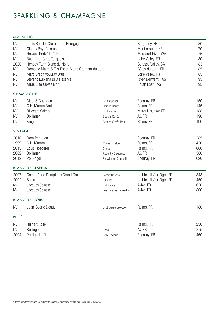### SPARKLING & CHAMPAGNE

#### SPARKLING<br>
SPARKLING

| <b>NV</b><br><b>NV</b><br><b>NV</b><br><b>NV</b><br>2020<br><b>NV</b><br><b>NV</b><br><b>NV</b><br><b>NV</b> | Louis Bouillot Crémant de Bourgogne<br>Cloudy Bay 'Pelorus'<br>Howard Park 'Jeté' Brut<br>Baumard 'Carte Turquoise'<br>Hentley Farm Blanc de Noirs<br>Domaine Maire & Fils Tissot-Maire Crémant du Jura<br>Marc Bredif Vouvray Brut<br>Stefano Lubiana Brut Reserve<br>Arras Elite Cuvée Brut<br><b>CHAMPAGNE</b> |                                      | Burgundy, FR<br>Marlborough, NZ<br>Margaret River, WA<br>Loire Valley, FR<br>Barossa Valley, SA<br>Côtes du Jura, FR<br>Loire Valley, FR<br>River Derwent, TAS<br>South East, TAS | 80<br>70<br>75<br>80<br>83<br>85<br>85<br>95<br>95 |
|--------------------------------------------------------------------------------------------------------------|-------------------------------------------------------------------------------------------------------------------------------------------------------------------------------------------------------------------------------------------------------------------------------------------------------------------|--------------------------------------|-----------------------------------------------------------------------------------------------------------------------------------------------------------------------------------|----------------------------------------------------|
| <b>NV</b>                                                                                                    | Moët & Chandon                                                                                                                                                                                                                                                                                                    |                                      | Épernay, FR                                                                                                                                                                       | 150                                                |
| <b>NV</b>                                                                                                    | G.H. Mumm Brut                                                                                                                                                                                                                                                                                                    | <b>Brut Imperial</b><br>Cordon Rouge | Reims, FR                                                                                                                                                                         | 145                                                |
| <b>NV</b>                                                                                                    | Billecart-Salmon                                                                                                                                                                                                                                                                                                  | <b>Brut Nature</b>                   | Mareuil-sur-Ay, FR                                                                                                                                                                | 188                                                |
| <b>NV</b>                                                                                                    | <b>Bollinger</b>                                                                                                                                                                                                                                                                                                  | Special Cuvée                        | Aÿ, FR                                                                                                                                                                            | 190                                                |
| <b>NV</b>                                                                                                    | Krug                                                                                                                                                                                                                                                                                                              | Grande Cuvée Brut                    | Reims, FR                                                                                                                                                                         | 490                                                |
| <b>VINTAGES</b>                                                                                              |                                                                                                                                                                                                                                                                                                                   |                                      |                                                                                                                                                                                   |                                                    |
| 2010                                                                                                         | Dom Pérignon                                                                                                                                                                                                                                                                                                      |                                      | Épernay, FR                                                                                                                                                                       | 385                                                |
| 1999                                                                                                         | G.H. Mumm                                                                                                                                                                                                                                                                                                         | Cuvée R.Lalou                        | Reims, FR                                                                                                                                                                         | 430                                                |
| 2013                                                                                                         | Louis Roederer                                                                                                                                                                                                                                                                                                    | Cristal                              | Reims, FR                                                                                                                                                                         | 600                                                |
| 2002                                                                                                         | Bollinger                                                                                                                                                                                                                                                                                                         | Recently Disgorged                   | Aÿ, FR                                                                                                                                                                            | 580                                                |
| 2012                                                                                                         | Pol Roger                                                                                                                                                                                                                                                                                                         | Sir Winston Churchill                | Épernay, FR                                                                                                                                                                       | 620                                                |
|                                                                                                              | <b>BLANC DE BLANCS</b>                                                                                                                                                                                                                                                                                            |                                      |                                                                                                                                                                                   |                                                    |
| 2007                                                                                                         | Comte A. de Dampierre Grand Cru                                                                                                                                                                                                                                                                                   | Family Réserve                       | Le Mesnil-Sur-Oger, FR                                                                                                                                                            | 348                                                |
| 2002                                                                                                         | Salon                                                                                                                                                                                                                                                                                                             | S Cuvée                              | Le Mesnil-Sur-Oger, FR                                                                                                                                                            | 1450                                               |
| <b>NV</b>                                                                                                    | Jacques Selosse                                                                                                                                                                                                                                                                                                   | Substance                            | Avize, FR                                                                                                                                                                         | 1620                                               |
| <b>NV</b>                                                                                                    | Jacques Selosse                                                                                                                                                                                                                                                                                                   | Les Carelles Lieux-dits              | Avize, FR                                                                                                                                                                         | 1800                                               |
|                                                                                                              | <b>BLANC DE NOIRS</b>                                                                                                                                                                                                                                                                                             |                                      |                                                                                                                                                                                   |                                                    |
| <b>NV</b>                                                                                                    | Jean-Cédric Deguy                                                                                                                                                                                                                                                                                                 | Brut Cuvée Sélection                 | Reims, FR                                                                                                                                                                         | 180                                                |
| ROSÉ                                                                                                         |                                                                                                                                                                                                                                                                                                                   |                                      |                                                                                                                                                                                   |                                                    |
| <b>NV</b>                                                                                                    | Ruinart Rosé                                                                                                                                                                                                                                                                                                      |                                      | Reims, FR                                                                                                                                                                         | 230                                                |
| <b>NV</b>                                                                                                    | Bollinger                                                                                                                                                                                                                                                                                                         | Rosé                                 | Aÿ, FR                                                                                                                                                                            | 275                                                |
| 2004                                                                                                         | Perrier-Jouët                                                                                                                                                                                                                                                                                                     | Belle Epoque                         | Épernay, FR                                                                                                                                                                       | 460                                                |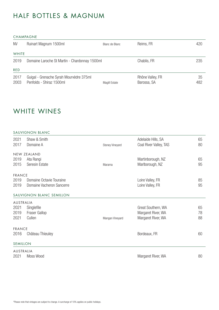### HALF BOTTLES & MAGNUM

#### CHAMPAGNE

| <b>NV</b>    | Ruinart Magnum 1500ml                                               | Blanc de Blanc | Reims, FR                       | 420       |
|--------------|---------------------------------------------------------------------|----------------|---------------------------------|-----------|
| <b>WHITE</b> |                                                                     |                |                                 |           |
| 2019         | Domaine Laroche St Martin - Chardonnay 1500ml                       |                | Chablis, FR                     | 235       |
| <b>RED</b>   |                                                                     |                |                                 |           |
| 2017<br>2003 | Guigal - Grenache Syrah Mourvèdre 375ml<br>Penfolds - Shiraz 1500ml | Magill Estate  | Rhône Valley, FR<br>Barossa, SA | 35<br>482 |

### WHITE WINES

#### SAUVIGNON BLANC

| 2021          | Shaw & Smith              |                 | Adelaide Hills, SA     | 65 |
|---------------|---------------------------|-----------------|------------------------|----|
| 2017          | Domaine A                 | Stoney Vineyard | Coal River Valley, TAS | 80 |
|               | NEW ZEALAND               |                 |                        |    |
| 2019          | Ata Rangi                 |                 | Martinborough, NZ      | 65 |
| 2015          | Seresin Estate            | Marama          | Marlborough, NZ        | 95 |
| <b>FRANCE</b> |                           |                 |                        |    |
| 2019          | Domaine Octavie Touraine  |                 | Loire Valley, FR       | 85 |
| 2019          | Domaine Vacheron Sancerre |                 | Loire Valley, FR       | 95 |
|               | SAUVIGNON BLANC SEMILLON  |                 |                        |    |
| AUSTRALIA     |                           |                 |                        |    |
| 2021          | Singlefile                |                 | Great Southern, WA     | 65 |
| 2019          | Fraser Gallop             |                 | Margaret River, WA     | 78 |
| 2021          | Cullen                    | Mangan Vineyard | Margaret River, WA     | 88 |
| <b>FRANCE</b> |                           |                 |                        |    |
| 2016          | Château Thieuley          |                 | Bordeaux, FR           | 60 |
| SEMILLON      |                           |                 |                        |    |
| AUSTRALIA     |                           |                 |                        |    |
| 2021          | Moss Wood                 |                 | Margaret River, WA     | 80 |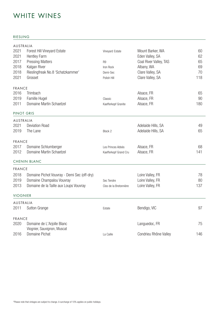### WHITE WINES

#### RIESLING

| AUSTRALIA       |                                             |                        |                        |     |
|-----------------|---------------------------------------------|------------------------|------------------------|-----|
| 2021            | <b>Forest Hill Vineyard Estate</b>          | Vineyard Estate        | Mount Barker, WA       | 60  |
| 2021            | <b>Hentley Farm</b>                         |                        | Eden Valley, SA        | 62  |
| 2017            | <b>Pressing Matters</b>                     | R <sub>9</sub>         | Coal River Valley, TAS | 65  |
| 2018            | Kalgan River                                | Iron Rock              | Albany, WA             | 69  |
| 2018            | Rieslingfreak No.8 'Schatzkammer'           | Demi-Sec               | Clare Valley, SA       | 70  |
| 2021            | Grosset                                     | Polish Hill            | Clare Valley, SA       | 118 |
| <b>FRANCE</b>   |                                             |                        |                        |     |
| 2016            | Trimbach                                    |                        | Alsace, FR             | 65  |
| 2019            | Famille Hugel                               | Classic                | Alsace, FR             | 90  |
| 2011            | Domaine Martin Schaetzel                    | Kaefferkopf Granite    | Alsace, FR             | 180 |
| PINOT GRIS      |                                             |                        |                        |     |
| AUSTRALIA       |                                             |                        |                        |     |
| 2021            | <b>Deviation Road</b>                       |                        | Adelaide Hills, SA     | 49  |
| 2019            | The Lane                                    | Block 2                | Adelaide Hills, SA     | 65  |
| <b>FRANCE</b>   |                                             |                        |                        |     |
| 2017            | Domaine Schlumberger                        | Les Princes Abbés      | Alsace, FR             | 68  |
| 2012            | Domaine Martin Schaetzel                    | Kaefferkopf Grand Cru  | Alsace, FR             | 141 |
|                 | <b>CHENIN BLANC</b>                         |                        |                        |     |
| <b>FRANCE</b>   |                                             |                        |                        |     |
| 2018            | Domaine Pichot Vouvray - Demi Sec (off-dry) |                        | Loire Valley, FR       | 78  |
| 2019            | Domaine Champalou Vouvray                   | Sec Tendre             | Loire Valley, FR       | 80  |
| 2013            | Domaine de la Taille aux Loups Vouvray      | Clos de la Bretonnière | Loire Valley, FR       | 137 |
| <b>VIOGNIER</b> |                                             |                        |                        |     |
| AUSTRALIA       |                                             |                        |                        |     |
|                 | 2011 Sutton Grange                          | Estate                 | Bendigo, VIC           | 97  |
| <b>FRANCE</b>   |                                             |                        |                        |     |
| 2020            | Domaine de L'Arjolle Blanc                  |                        | Languedoc, FR          | 75  |
|                 | Viognier, Sauvignon, Muscat                 |                        |                        |     |
| 2016            | Domaine Pichat                              | La Caille              | Condrieu Rhône Valley  | 146 |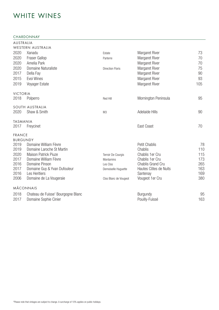### WHITE WINES

#### CHARDONNAY

| AUSTRALIA               |                                                                                                                                                                                                                                                                                                                                                                                            |                                                                                     |                                                                                                                                                                                                                                                                                                                                              |
|-------------------------|--------------------------------------------------------------------------------------------------------------------------------------------------------------------------------------------------------------------------------------------------------------------------------------------------------------------------------------------------------------------------------------------|-------------------------------------------------------------------------------------|----------------------------------------------------------------------------------------------------------------------------------------------------------------------------------------------------------------------------------------------------------------------------------------------------------------------------------------------|
|                         |                                                                                                                                                                                                                                                                                                                                                                                            |                                                                                     |                                                                                                                                                                                                                                                                                                                                              |
|                         |                                                                                                                                                                                                                                                                                                                                                                                            |                                                                                     | 73                                                                                                                                                                                                                                                                                                                                           |
|                         | Parterre                                                                                                                                                                                                                                                                                                                                                                                   |                                                                                     | 70                                                                                                                                                                                                                                                                                                                                           |
|                         |                                                                                                                                                                                                                                                                                                                                                                                            |                                                                                     | 70                                                                                                                                                                                                                                                                                                                                           |
|                         | <b>Direction Floris</b>                                                                                                                                                                                                                                                                                                                                                                    |                                                                                     | 75                                                                                                                                                                                                                                                                                                                                           |
|                         |                                                                                                                                                                                                                                                                                                                                                                                            |                                                                                     | 90                                                                                                                                                                                                                                                                                                                                           |
|                         |                                                                                                                                                                                                                                                                                                                                                                                            |                                                                                     | 93                                                                                                                                                                                                                                                                                                                                           |
|                         |                                                                                                                                                                                                                                                                                                                                                                                            |                                                                                     | 105                                                                                                                                                                                                                                                                                                                                          |
| <b>VICTORIA</b>         |                                                                                                                                                                                                                                                                                                                                                                                            |                                                                                     |                                                                                                                                                                                                                                                                                                                                              |
| Polperro                | Red Hill                                                                                                                                                                                                                                                                                                                                                                                   | Mornington Peninsula                                                                | 95                                                                                                                                                                                                                                                                                                                                           |
| SOUTH AUSTRALIA         |                                                                                                                                                                                                                                                                                                                                                                                            |                                                                                     |                                                                                                                                                                                                                                                                                                                                              |
|                         | M3                                                                                                                                                                                                                                                                                                                                                                                         |                                                                                     | 90                                                                                                                                                                                                                                                                                                                                           |
| <b>TASMANIA</b>         |                                                                                                                                                                                                                                                                                                                                                                                            |                                                                                     |                                                                                                                                                                                                                                                                                                                                              |
| Freycinet               |                                                                                                                                                                                                                                                                                                                                                                                            | East Coast                                                                          | 70                                                                                                                                                                                                                                                                                                                                           |
| <b>FRANCE</b>           |                                                                                                                                                                                                                                                                                                                                                                                            |                                                                                     |                                                                                                                                                                                                                                                                                                                                              |
| <b>BURGUNDY</b>         |                                                                                                                                                                                                                                                                                                                                                                                            |                                                                                     |                                                                                                                                                                                                                                                                                                                                              |
|                         |                                                                                                                                                                                                                                                                                                                                                                                            |                                                                                     | 78                                                                                                                                                                                                                                                                                                                                           |
|                         |                                                                                                                                                                                                                                                                                                                                                                                            |                                                                                     | 110                                                                                                                                                                                                                                                                                                                                          |
|                         |                                                                                                                                                                                                                                                                                                                                                                                            |                                                                                     | 115                                                                                                                                                                                                                                                                                                                                          |
|                         |                                                                                                                                                                                                                                                                                                                                                                                            |                                                                                     | 173                                                                                                                                                                                                                                                                                                                                          |
|                         |                                                                                                                                                                                                                                                                                                                                                                                            |                                                                                     | 265<br>163                                                                                                                                                                                                                                                                                                                                   |
|                         |                                                                                                                                                                                                                                                                                                                                                                                            |                                                                                     | 169                                                                                                                                                                                                                                                                                                                                          |
| Domaine de La Vougeraie | Clos Blanc de Vougeot                                                                                                                                                                                                                                                                                                                                                                      | Vougeot 1er Cru                                                                     | 380                                                                                                                                                                                                                                                                                                                                          |
|                         |                                                                                                                                                                                                                                                                                                                                                                                            |                                                                                     |                                                                                                                                                                                                                                                                                                                                              |
|                         |                                                                                                                                                                                                                                                                                                                                                                                            |                                                                                     | 95                                                                                                                                                                                                                                                                                                                                           |
| Domaine Sophie Cinier   |                                                                                                                                                                                                                                                                                                                                                                                            | Pouilly-Fuissé                                                                      | 163                                                                                                                                                                                                                                                                                                                                          |
|                         | WESTERN AUSTRALIA<br>Xanadu<br><b>Fraser Gallop</b><br>Amelia Park<br>Domaine Naturaliste<br>Della Fay<br>Evoi Wines<br>Voyager Estate<br>Shaw & Smith<br>Domaine William Fèvre<br>Domaine Laroche St Martin<br>Maison Patrick Piuze<br>Domaine William Fèvre<br>Domaine Pinson<br>Domaine Guy & Yvan Dufouleur<br>Les Heritiers<br><b>MÂCONNAIS</b><br>Chateau de Fuisse' Bourgogne Blanc | Estate<br>Terroir De Courgis<br><b>Montamins</b><br>Les Clos<br>Demoiselle Huguette | <b>Margaret River</b><br><b>Margaret River</b><br>Margaret River<br><b>Margaret River</b><br><b>Margaret River</b><br>Margaret River<br><b>Margaret River</b><br>Adelaide Hills<br><b>Petit Chablis</b><br>Chablis<br>Chablis 1er Cru<br>Chablis 1er Cru<br><b>Chablis Grand Cru</b><br>Hautes Côtes de Nuits<br>Santenay<br><b>Burgundy</b> |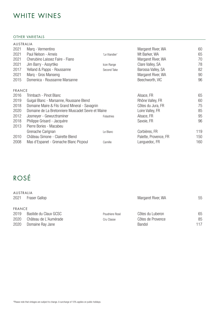### WHITE WINES

#### OTHER VARIETALS

| AUSTRALIA     |                                                   |               |                       |     |
|---------------|---------------------------------------------------|---------------|-----------------------|-----|
| 2021          | Marq - Vermentino                                 |               | Margaret River, WA    | 60  |
| 2021          | Paul Nelson - Arneis                              | 'Le Viandier' | Mt Barker, WA         | 65  |
| 2021          | Cherubino Laissez Faire - Fiano                   |               | Margaret River, WA    | 70  |
| 2021          | Jim Barry - Assyrtiko                             | Icon Range    | Clare Valley, SA      | 78  |
| 2017          | Yelland & Papps - Roussanne                       | Second Take   | Barossa Valley, SA    | 82  |
| 2021          | Marq - Gros Manseng                               |               | Margaret River, WA    | 90  |
| 2015          | Domenica - Roussanne Marsanne                     |               | Beechworth, VIC       | 96  |
| <b>FRANCE</b> |                                                   |               |                       |     |
| 2016          | Trimbach - Pinot Blanc                            |               | Alsace, FR            | 65  |
| 2019          | Guigal Blanc - Marsanne, Roussane Blend           |               | Rhône Valley, FR      | 60  |
| 2018          | Domaine Maire & Fils Grand Mineral - Savagnin     |               | Côtes du Jura, FR     | 75  |
| 2020          | Domaine de La Bretonniere Muscadet Sevre et Maine |               | Loire Valley, FR      | 85  |
| 2012          | Josmeyer - Gewurztraminer                         | Folastries    | Alsace, FR            | 95  |
| 2018          | Philippe Grisard - Jacquère                       |               | Savoie, FR            | 96  |
| 2013          | Pierre Bories - Macabeu                           |               |                       |     |
|               | Grenache Carignan                                 | Le Blanc      | Corbières, FR         | 119 |
| 2010          | Château Simone - Clairette Blend                  |               | Palette, Provence, FR | 150 |
| 2008          | Mas d'Espanet - Grenache Blanc Picpoul            | Camille       | Languedoc, FR         | 160 |

## ROSÉ

| AUSTRALIA<br>2021<br><b>Fraser Gallop</b> |                                           | Margaret River, WA | 55                                 |           |
|-------------------------------------------|-------------------------------------------|--------------------|------------------------------------|-----------|
| <b>FRANCE</b><br>2019                     | Bastide du Claux GCSC                     | Poudriere Rosé     | Côtes du Luberon                   | 65        |
| 2020<br>2020                              | Château de L'Aumérade<br>Domaine Ray Jane | Cru Classe         | Côtes de Provence<br><b>Bandol</b> | 85<br>117 |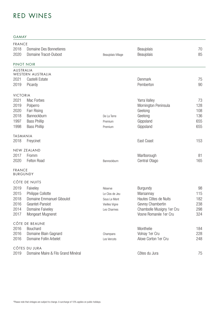GAMAY

| <b>FRANCE</b><br>2018<br>2020    | Domaine Des Bonnetieres<br>Domaine Tracot-Dubost    | Beaujolais Village      | Beaujolais<br>Beaujolais                            | 70<br>85   |
|----------------------------------|-----------------------------------------------------|-------------------------|-----------------------------------------------------|------------|
| PINOT NOIR                       |                                                     |                         |                                                     |            |
| AUSTRALIA                        | WESTERN AUSTRALIA                                   |                         |                                                     |            |
| 2021                             | Castelli Estate                                     |                         | Denmark                                             | 75         |
| 2019                             | Picardy                                             |                         | Pemberton                                           | 90         |
| <b>VICTORIA</b>                  |                                                     |                         |                                                     |            |
| 2021                             | Mac Forbes                                          |                         | Yarra Valley                                        | 73         |
| 2019                             | Polperro                                            |                         | Mornington Peninsula                                | 128        |
| 2020                             | <b>Farr Rising</b>                                  |                         | Geelong                                             | 108        |
| 2018                             | Bannockburn                                         | De La Terre             | Geelong                                             | 136        |
| 1997                             | <b>Bass Phillip</b>                                 | Premium                 | Gippsland                                           | 655        |
| 1998                             | <b>Bass Phillip</b>                                 | Premium                 | Gippsland                                           | 655        |
| <b>TASMANIA</b>                  |                                                     |                         |                                                     |            |
| 2018                             | Freycinet                                           |                         | East Coast                                          | 153        |
|                                  | NEW ZEALAND                                         |                         |                                                     |            |
| 2017                             | Fromm                                               |                         | Marlborough                                         | 81         |
| 2020                             | Felton Road                                         | Bannockburn             | Central Otago                                       | 165        |
| <b>FRANCE</b><br><b>BURGUNDY</b> |                                                     |                         |                                                     |            |
|                                  | CÔTE DE NUITS                                       |                         |                                                     |            |
| 2019                             | Faiveley                                            | Réserve                 | <b>Burgundy</b>                                     | 98         |
| 2015                             | Philippe Collotte                                   | Le Clos de Jeu          | Marsannay                                           | 115        |
| 2018                             | Domaine Emmanuel Giboulot                           | Sous Le Mont            | Hautes Côtes de Nuits                               | 182        |
| 2016                             | Geantet-Pansiot                                     | Vieilles Vigne          | Gevrey Chambertin                                   | 238        |
| 2014<br>2017                     | Domaine Faiveley<br><b>Mongeart Mugneret</b>        | Les Charmes             | Chambolle Musigny 1er Cru<br>Vosne Romanée 1 er Cru | 298<br>324 |
|                                  |                                                     |                         |                                                     |            |
|                                  | CÔTE DE BEAUNE                                      |                         |                                                     |            |
| 2016<br>2016                     | Bouchard<br>Domaine Blain Gagnard                   |                         | Monthelie<br>Volnay 1er Cru                         | 184<br>228 |
| 2016                             | Domaine Follin Arbelet                              | Champans<br>Les Vercots | Aloxe Corton 1er Cru                                | 248        |
|                                  |                                                     |                         |                                                     |            |
| 2019                             | CÔTES DU JURA<br>Domaine Maire & Fils Grand Minéral |                         | Côtes du Jura                                       | 75         |
|                                  |                                                     |                         |                                                     |            |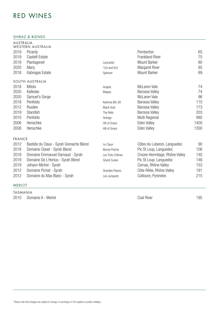SHIRAZ & BLENDS

| AUSTRALIA     | WESTERN AUSTRALIA                       |                       |                                |      |
|---------------|-----------------------------------------|-----------------------|--------------------------------|------|
| 2019          | Picardy                                 |                       | Pemberton                      | 65   |
| 2019          | Castelli Estate                         |                       | <b>Frankland River</b>         | 75   |
| 2018          | Plantagenet                             | Lancaster             | <b>Mount Barker</b>            | 80   |
| 2020          | Marq                                    | 'Cut and Dry'         | <b>Margaret River</b>          | 85   |
| 2018          | Xabregas Estate                         | Spencer               | <b>Mount Barker</b>            | 89   |
|               | SOUTH AUSTRALIA                         |                       |                                |      |
| 2018          | Mitolo                                  | Angela                | <b>McLaren Vale</b>            | 74   |
| 2020          | Kalleske                                | Moppa                 | Barossa Valley                 | 74   |
| 2020          | Samuel's Gorge                          |                       | McLaren Vale                   | 96   |
| 2018          | Penfolds                                | Kalimna Bin 28        | Barossa Valley                 | 110  |
| 2012          | Rusden                                  | <b>Black Guts</b>     | Barossa Valley                 | 173  |
| 2019          | Standish                                | The Relic             | Barossa Valley                 | 203  |
| 2010          | Penfolds                                | Grange                | Multi Regional                 | 980  |
| 2006          | Henschke                                | Hill of Grace         | <b>Eden Valley</b>             | 1400 |
| 2008          | Henschke                                | Hill of Grace         | <b>Eden Valley</b>             | 1300 |
| <b>FRANCE</b> |                                         |                       |                                |      |
| 2012          | Bastide du Claux - Syrah Grenache Blend | Le Claux              | Côtes du Luberon, Languedoc    | 90   |
| 2018          | Domaine Clavel - Syrah Blend            | <b>Bonne Pioche</b>   | Pic St Loup, Languedoc         | 106  |
| 2018          | Domaine Emmanuel Darnaud - Syrah        | Les Trois Chênes      | Crozes-Hermitage, Rhône Valley | 140  |
| 2019          | Domaine De L'Hortus - Syrah Blend       | <b>Grand Cuvee</b>    | Pic St Loup, Languedoc         | 148  |
| 2019          | Johann Michel - Syrah                   |                       | Cornas, Rhône Valley           | 153  |
| 2012          | Domaine Pichat - Syrah                  | <b>Grandes Places</b> | Côte-Rôtie, Rhône Valley       | 181  |
| 2012          | Domaine du Mas Blanc - Syrah            | Les Junquets          | Collioure, Pyrenées            | 215  |
|               |                                         |                       |                                |      |

#### MERLOT

TASMANIA 2010 Domaine A - Merlot **Coal River Coal River** Coal River 2010 Domaine A - Merlot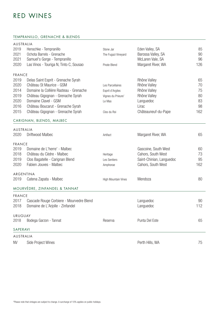#### TEMPRANILLO, GRENACHE & BLENDS

| AUSTRALIA      |                                          |                     |                          |     |
|----------------|------------------------------------------|---------------------|--------------------------|-----|
| 2019           | Henschke - Tempranillo                   | Stone Jar           | Eden Valley, SA          | 85  |
| 2021           | Ochota Barrels - Grenache                | The Fugazi Vineyard | Barossa Valley, SA       | 90  |
| 2021           | Samuel's Gorge - Tempranillo             |                     | McLaren Vale, SA         | 96  |
| 2020           | Las Vinos - Touriga N, Tinto C, Sousao   | Pirate Blend        | Margaret River, WA       | 126 |
| <b>FRANCE</b>  |                                          |                     |                          |     |
| 2019           | Delas Saint Esprit - Grenache Syrah      |                     | Rhône Valley             | 65  |
| 2020           | Château St Maurice - GSM                 | Les Parcellaires    | Rhône Valley             | 70  |
| 2014           | Domaine la Collière Rasteau - Grenache   | Esprit d'Argiles    | Rhône Valley             | 75  |
| 2019           | Château Gigognan - Grenache Syrah        | Vignes du Prieure'  | Rhône Valley             | 80  |
| 2020           | Domaine Clavel - GSM                     | Le Mas              | Languedoc                | 83  |
| 2016           | Château Boucarut - Grenache Syrah        |                     | Lirac                    | 98  |
| 2015           | Château Gigognan - Grenache Syrah        | Clos du Roi         | Châteauneuf-du-Pape      | 162 |
|                | CARIGNAN, BLENDS, MALBEC                 |                     |                          |     |
| AUSTRALIA      |                                          |                     |                          |     |
| 2020           | Driftwood Malbec                         | Artifact            | Margaret River, WA       | 65  |
| <b>FRANCE</b>  |                                          |                     |                          |     |
| 2019           | Domaine de L'herre' - Malbec             |                     | Gascoine, South West     | 60  |
| 2018           | Château du Cèdre - Malbec                | Heritage            | Cahors, South West       | 73  |
| 2019           | Clos Bagatelle - Carignan Blend          | Les Sentiers        | Saint-Chinian, Languedoc | 95  |
| 2020           | Fabien Jouves - Malbec                   | Amphorae            | Cahors, South West       | 162 |
|                | ARGENTINA                                |                     |                          |     |
| 2019           | Catena Zapata - Malbec                   | High Mountain Vines | Mendoza                  | 80  |
|                | MOURVÈDRE, ZINFANDEL & TANNAT            |                     |                          |     |
| <b>FRANCE</b>  |                                          |                     |                          |     |
| 2017           | Cascade Rouge Corbiere - Mourvedre Blend |                     | Languedoc                | 90  |
| 2018           | Domaine de L'Arjolle - Zinfandel         |                     | Languedoc                | 112 |
| <b>URUGUAY</b> |                                          |                     |                          |     |
| 2018           | Bodega Garzon - Tannat                   | Reserva             | Punta Del Este           | 65  |
| SAPERAVI       |                                          |                     |                          |     |
| AUSTRALIA      |                                          |                     |                          |     |
| <b>NV</b>      | Side Project Wines                       |                     | Perth Hills, WA          | 75  |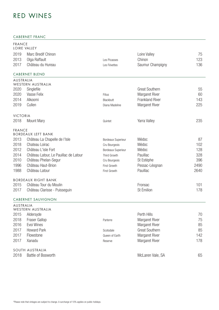#### CABERNET FRANC

| <b>FRANCE</b><br>LOIRE VALLEY |                                                            |                           |                        |      |
|-------------------------------|------------------------------------------------------------|---------------------------|------------------------|------|
| 2019                          | Marc Bredif Chinon                                         |                           | Loire Valley           | 75   |
| 2013                          | Olga Raffault                                              | Les Picasses              | Chinon                 | 123  |
| 2017                          | Château du Hureau                                          | Les Févettes              | Saumur Champigny       | 136  |
|                               | <b>CABERNET BLEND</b>                                      |                           |                        |      |
| AUSTRALIA                     | WESTERN AUSTRALIA                                          |                           |                        |      |
| 2020                          | Singlefile                                                 |                           | <b>Great Southern</b>  | 55   |
| 2020                          | Vasse Felix                                                | Filius                    | <b>Margaret River</b>  | 60   |
| 2014                          | Alkoomi                                                    | Blackbutt                 | <b>Frankland River</b> | 143  |
| 2019                          | Cullen                                                     | Diana Madeline            | <b>Margaret River</b>  | 225  |
| <b>VICTORIA</b>               |                                                            |                           |                        |      |
| 2018                          | <b>Mount Mary</b>                                          | Quintet                   | Yarra Valley           | 235  |
| <b>FRANCE</b>                 |                                                            |                           |                        |      |
| 2013                          | <b>BORDEAUX LEFT BANK</b><br>Château La Chapelle de l'Isle | Bordeaux Superieur        | Médoc                  | 87   |
| 2018                          | Chateau Loirac                                             | Cru Bourgeois             | Médoc                  | 102  |
| 2012                          | Château L'isle Fort                                        | <b>Bordeaux Superieur</b> | Médoc                  | 128  |
| 2014                          | Château Latour, Le Pauillac de Latour                      | Third Growth              | Pauillac               | 328  |
| 2010                          | Château Phelan-Segur                                       | Cru Bourgeois             | St Estèphe             | 396  |
| 1996                          | Château Haut-Brion                                         | First Growth              | Pessac-Léognan         | 2490 |
| 1988                          | Château Latour                                             | First Growth              | Pauillac               | 2640 |
|                               | <b>BORDEAUX RIGHT BANK</b>                                 |                           |                        |      |
| 2015                          | Château Tour du Moulin                                     |                           | Fronsac                | 101  |
| 2017                          | Château Clarisse - Puisseguin                              |                           | St Émilion             | 178  |
|                               | <b>CABERNET SAUVIGNON</b>                                  |                           |                        |      |
| AUSTRALIA                     | WESTERN AUSTRALIA                                          |                           |                        |      |
| 2015                          | Aldersyde                                                  |                           | Perth Hills            | 70   |
| 2018                          | Fraser Gallop                                              | Parterre                  | <b>Margaret River</b>  | 75   |
| 2016                          | Evoi Wines                                                 |                           | <b>Margaret River</b>  | 85   |
| 2017                          | <b>Howard Park</b>                                         | Scotsdale                 | <b>Great Southern</b>  | 85   |
| 2017                          | Flowstone                                                  | Queen of Earth            | <b>Margaret River</b>  | 142  |
| 2017                          | Xanadu                                                     | Reserve                   | <b>Margaret River</b>  | 178  |
|                               | SOUTH AUSTRALIA                                            |                           |                        |      |
| 2018                          | <b>Battle of Bosworth</b>                                  |                           | McLaren Vale, SA       | 65   |